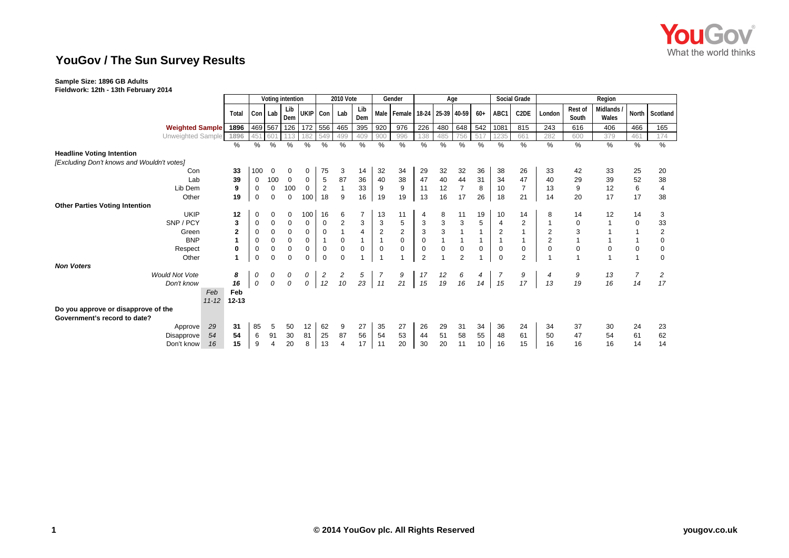

## **YouGov / The Sun Survey Results**

## **Sample Size: 1896 GB Adults**

**Fieldwork: 12th - 13th February 2014**

|                                            |                        | Voting intention |                |             |             | <b>2010 Vote</b> |                |                           | Gender         |                               | Age            |             |                |             |                | Social Grade     | Region         |                         |                     |                |                |
|--------------------------------------------|------------------------|------------------|----------------|-------------|-------------|------------------|----------------|---------------------------|----------------|-------------------------------|----------------|-------------|----------------|-------------|----------------|------------------|----------------|-------------------------|---------------------|----------------|----------------|
|                                            | Total                  |                  | Con Lab        | Lib<br>Dem  | UKIP Con    |                  | Lab            | Lib<br>Dem                |                | Male Female 18-24 25-39 40-59 |                |             |                | $60+$       | ABC1           | C2DE             | London         | <b>Rest of</b><br>South | Midlands /<br>Wales |                | North Scotland |
| <b>Weighted Sample</b>                     | 1896                   |                  | 469 567        | 126         | 172 556     |                  | 465            | 395                       | 920            | 976                           | 226            | 480         | 648            | 542         | 1081           | 815              | 243            | 616                     | 406                 | 466            | 165            |
| Unweighted Sample                          | 1896                   | 45 <sup>′</sup>  | 60             |             | 182         | 549              | 499            | 409                       | 900            | 996                           | 138            | 485         | 756            | 517         | 1235           | 661              | 282            | 600                     | 379                 | 461            | 174            |
|                                            | %                      | $\%$             | %              | $\%$        | %           | %                | %              | %                         | %              | %                             | %              | %           | %              | %           | $\%$           | %                | %              | %                       | %                   | %              | %              |
| <b>Headline Voting Intention</b>           |                        |                  |                |             |             |                  |                |                           |                |                               |                |             |                |             |                |                  |                |                         |                     |                |                |
| [Excluding Don't knows and Wouldn't votes] |                        |                  |                |             |             |                  |                |                           |                |                               |                |             |                |             |                |                  |                |                         |                     |                |                |
| Con                                        | 33                     | 100              | 0              | 0           | 0           | 75               | 3              | 14                        | 32             | 34                            | 29             | 32          | 32             | 36          | 38             | 26               | 33             | 42                      | 33                  | 25             | 20             |
| Lab                                        | 39                     | 0                | 100            | $\mathbf 0$ | 0           | 5                | 87             | 36                        | 40             | 38                            | 47             | 40          | 44             | 31          | 34             | 47               | 40             | 29                      | 39                  | 52             | 38             |
| Lib Dem                                    | 9                      | $\mathbf 0$      | $\mathbf 0$    | 100         | $\mathbf 0$ | $\overline{2}$   |                | 33                        | 9              | 9                             | 11             | 12          | $\overline{7}$ | 8           | 10             | $\overline{7}$   | 13             | $9\,$                   | 12                  | $\,6\,$        | $\overline{4}$ |
| Other                                      | 19                     | $\mathbf 0$      | $\mathbf 0$    | $\mathsf 0$ | 100         | 18               | 9              | 16                        | 19             | 19                            | 13             | 16          | 17             | 26          | 18             | 21               | 14             | 20                      | 17                  | 17             | 38             |
| <b>Other Parties Voting Intention</b>      |                        |                  |                |             |             |                  |                |                           |                |                               |                |             |                |             |                |                  |                |                         |                     |                |                |
| <b>UKIP</b>                                | 12                     | 0                | 0              | 0           | 100         | 16               | 6              | $\overline{7}$            | 13             | 11                            | 4              | 8           | 11             | 19          | 10             | 14               | 8              | 14                      | 12                  | 14             | 3              |
| SNP / PCY                                  | 3                      | 0                | 0              | 0           | $\mathbf 0$ | 0                | $\overline{c}$ | $\ensuremath{\mathsf{3}}$ | 3              | 5                             | 3              | 3           | $\mathsf 3$    | 5           | 4              | $\overline{c}$   |                | $\mathbf 0$             |                     | $\mathbf 0$    | 33             |
| Green                                      | $\mathbf{2}$           | 0                | $\mathbf 0$    | $\mathbf 0$ | $\mathbf 0$ | $\mathbf 0$      |                | $\overline{4}$            | $\overline{2}$ | $\overline{2}$                | 3              | 3           | $\mathbf{1}$   |             | $\overline{2}$ | $\mathbf{1}$     | $\overline{2}$ | 3                       |                     |                | $\overline{2}$ |
| <b>BNP</b>                                 | 1                      | $\mathbf 0$      | $\mathbf 0$    | $\mathbf 0$ | 0           |                  | $\mathbf 0$    | $\mathbf{1}$              |                | $\pmb{0}$                     | $\mathbf 0$    |             |                |             |                | $\mathbf{1}$     | $\overline{2}$ |                         |                     |                | 0              |
| Respect                                    | 0                      | 0                | $\pmb{0}$      | 0           | $\mathbf 0$ | $\mathbf 0$      | $\mathbf 0$    | $\mathbf 0$               | $\mathbf 0$    | 0                             | $\mathbf 0$    | $\mathbf 0$ | $\pmb{0}$      | $\mathbf 0$ | 0              | $\boldsymbol{0}$ | $\mathbf 0$    | $\mathbf 0$             | 0                   | $\mathbf 0$    | $\mathbf 0$    |
| Other                                      | 1                      | 0                | $\mathbf 0$    | $\mathbf 0$ | $\Omega$    | $\mathbf 0$      | $\Omega$       |                           |                |                               | $\overline{2}$ |             | 2              |             | $\Omega$       | $\overline{2}$   |                |                         |                     | $\overline{1}$ | $\mathbf 0$    |
| <b>Non Voters</b>                          |                        |                  |                |             |             |                  |                |                           |                |                               |                |             |                |             |                |                  |                |                         |                     |                |                |
| <b>Would Not Vote</b>                      | 8                      | 0                | 0              | 0           | 0           | $\overline{c}$   | 2              | 5                         | -7             | 9                             | 17             | 12          | 6              | 4           |                | 9                | 4              | 9                       | 13                  | $\overline{7}$ | 2              |
| Don't know                                 | 16                     | 0                | 0              | 0           | 0           | 12               | 10             | 23                        | 11             | 21                            | 15             | 19          | 16             | 14          | 15             | 17               | 13             | 19                      | 16                  | 14             | 17             |
|                                            | Feb<br>Feb             |                  |                |             |             |                  |                |                           |                |                               |                |             |                |             |                |                  |                |                         |                     |                |                |
|                                            | $11 - 12$<br>$12 - 13$ |                  |                |             |             |                  |                |                           |                |                               |                |             |                |             |                |                  |                |                         |                     |                |                |
| Do you approve or disapprove of the        |                        |                  |                |             |             |                  |                |                           |                |                               |                |             |                |             |                |                  |                |                         |                     |                |                |
| Government's record to date?               |                        |                  |                |             |             |                  |                |                           |                |                               |                |             |                |             |                |                  |                |                         |                     |                |                |
| Approve                                    | 29<br>31               | 85               | 5              | 50          | 12          | 62               | 9              | 27                        | 35             | 27                            | 26             | 29          | 31             | 34          | 36             | 24               | 34             | 37                      | 30                  | 24             | 23             |
| Disapprove                                 | 54<br>54               | 6                | 91             | 30          | 81          | 25               | 87             | 56                        | 54             | 53                            | 44             | 51          | 58             | 55          | 48             | 61               | 50             | 47                      | 54                  | 61             | 62             |
| Don't know                                 | 15<br>16               | 9                | $\overline{4}$ | 20          | 8           | 13               | $\overline{4}$ | 17                        | 11             | 20                            | 30             | 20          | 11             | 10          | 16             | 15               | 16             | 16                      | 16                  | 14             | 14             |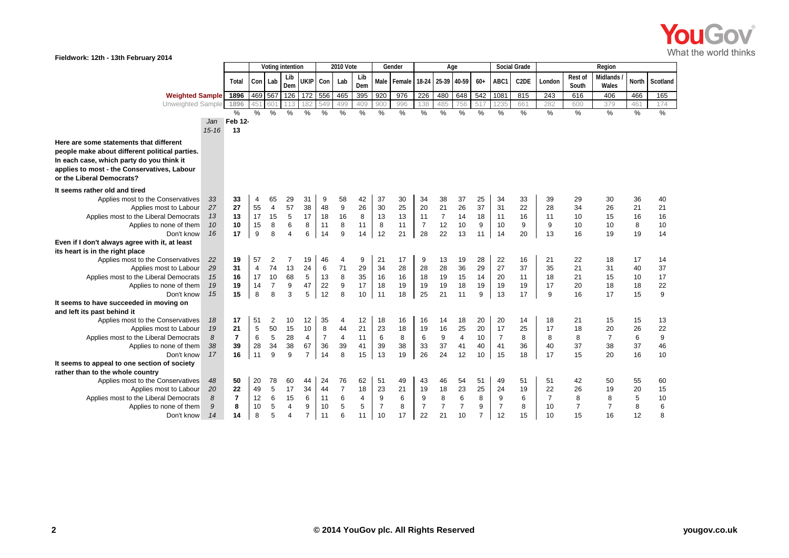

| VV.<br>Fieldwork: 12th - 13th February 2014                                                                                                                                                                        |                      |                      |                                  |                                 |                             |                     |                     |                    |                     |                     |                      |                                  |                                  |                      |                     |                      |                     |                     |                      |                      |                     |                      |
|--------------------------------------------------------------------------------------------------------------------------------------------------------------------------------------------------------------------|----------------------|----------------------|----------------------------------|---------------------------------|-----------------------------|---------------------|---------------------|--------------------|---------------------|---------------------|----------------------|----------------------------------|----------------------------------|----------------------|---------------------|----------------------|---------------------|---------------------|----------------------|----------------------|---------------------|----------------------|
|                                                                                                                                                                                                                    | Voting intention     |                      |                                  | 2010 Vote                       |                             |                     | Gender              |                    | Age                 |                     |                      |                                  | Social Grade                     |                      |                     | Region               |                     |                     |                      |                      |                     |                      |
|                                                                                                                                                                                                                    |                      | Total                |                                  | Con Lab                         | Lib<br>Dem                  | UKIP Con            |                     | Lab                | Lib<br>Dem          | Male                | Female               |                                  | 18-24 25-39 40-59                |                      | $60+$               | ABC1                 | C <sub>2</sub> DE   | London              | Rest of<br>South     | Midlands<br>Wales    | North               | Scotland             |
| <b>Weighted Sample</b>                                                                                                                                                                                             |                      | 1896                 | 469 567                          |                                 | 126                         | 172                 | 556                 | 465                | 395                 | 920                 | 976                  | 226                              | 480                              | 648                  | 542                 | 1081                 | 815                 | 243                 | 616                  | 406                  | 466                 | 165                  |
| Unweighted Sample                                                                                                                                                                                                  |                      | 1896                 | 45                               | 60                              | 113                         | 182                 | 549                 | 499                | 409                 | 900                 | 996                  | 138                              | 485                              | 756                  | 517                 | 1235                 | 661                 | 282                 | 600                  | 379                  | 461                 | 174                  |
|                                                                                                                                                                                                                    |                      | %                    | %                                | %                               | %                           | $\%$                | %                   | %                  | %                   | %                   | %                    | %                                | %                                | %                    | %                   | %                    | $\%$                | %                   | %                    | %                    | %                   | %                    |
|                                                                                                                                                                                                                    | Jan                  | Feb 12-              |                                  |                                 |                             |                     |                     |                    |                     |                     |                      |                                  |                                  |                      |                     |                      |                     |                     |                      |                      |                     |                      |
|                                                                                                                                                                                                                    | $15 - 16$            | 13                   |                                  |                                 |                             |                     |                     |                    |                     |                     |                      |                                  |                                  |                      |                     |                      |                     |                     |                      |                      |                     |                      |
| Here are some statements that different<br>people make about different political parties.<br>In each case, which party do you think it<br>applies to most - the Conservatives, Labour<br>or the Liberal Democrats? |                      |                      |                                  |                                 |                             |                     |                     |                    |                     |                     |                      |                                  |                                  |                      |                     |                      |                     |                     |                      |                      |                     |                      |
| It seems rather old and tired                                                                                                                                                                                      |                      |                      |                                  |                                 |                             |                     |                     |                    |                     |                     |                      |                                  |                                  |                      |                     |                      |                     |                     |                      |                      |                     |                      |
| Applies most to the Conservatives<br>Applies most to Labour<br>Applies most to the Liberal Democrats<br>Applies to none of them                                                                                    | 33<br>27<br>13<br>10 | 33<br>27<br>13<br>10 | $\overline{4}$<br>55<br>17<br>15 | 65<br>$\overline{4}$<br>15<br>8 | 29<br>57<br>$\sqrt{5}$<br>6 | 31<br>38<br>17<br>8 | 9<br>48<br>18<br>11 | 58<br>9<br>16<br>8 | 42<br>26<br>8<br>11 | 37<br>30<br>13<br>8 | 30<br>25<br>13<br>11 | 34<br>20<br>11<br>$\overline{7}$ | 38<br>21<br>$\overline{7}$<br>12 | 37<br>26<br>14<br>10 | 25<br>37<br>18<br>9 | 34<br>31<br>11<br>10 | 33<br>22<br>16<br>9 | 39<br>28<br>11<br>9 | 29<br>34<br>10<br>10 | 30<br>26<br>15<br>10 | 36<br>21<br>16<br>8 | 40<br>21<br>16<br>10 |
| Don't know                                                                                                                                                                                                         | 16                   | 17                   | 9                                | 8                               | $\overline{4}$              | 6                   | 14                  | 9                  | 14                  | 12                  | 21                   | 28                               | 22                               | 13                   | 11                  | 14                   | 20                  | 13                  | 16                   | 19                   | 19                  | 14                   |
| Even if I don't always agree with it, at least                                                                                                                                                                     |                      |                      |                                  |                                 |                             |                     |                     |                    |                     |                     |                      |                                  |                                  |                      |                     |                      |                     |                     |                      |                      |                     |                      |
| its heart is in the right place                                                                                                                                                                                    |                      |                      |                                  |                                 |                             |                     |                     |                    |                     |                     |                      |                                  |                                  |                      |                     |                      |                     |                     |                      |                      |                     |                      |
| Applies most to the Conservatives                                                                                                                                                                                  | 22                   | 19                   | 57                               | 2                               | 7                           | 19                  | 46                  | 4                  | 9                   | 21                  | 17                   | 9                                | 13                               | 19                   | 28                  | 22                   | 16                  | 21                  | 22                   | 18                   | 17                  | 14                   |
| Applies most to Labour                                                                                                                                                                                             | 29                   | 31                   | $\overline{4}$                   | 74                              | 13                          | 24                  | $6\phantom{1}6$     | 71                 | 29                  | 34                  | 28                   | 28                               | 28                               | 36                   | 29                  | 27                   | 37                  | 35                  | 21                   | 31                   | 40                  | 37                   |
| Applies most to the Liberal Democrats                                                                                                                                                                              | 15                   | 16                   | 17                               | 10                              | 68                          | $\,$ 5 $\,$         | 13                  | 8                  | 35                  | 16                  | 16                   | 18                               | 19                               | 15                   | 14                  | 20                   | 11                  | 18                  | 21                   | 15                   | 10                  | 17                   |
| Applies to none of them                                                                                                                                                                                            | 19<br>15             | 19                   | 14                               | $\overline{7}$                  | 9                           | 47                  | 22                  | 9                  | 17                  | 18                  | 19                   | 19                               | 19                               | 18                   | 19                  | 19                   | 19                  | 17                  | 20                   | 18                   | 18                  | 22                   |
| Don't know<br>It seems to have succeeded in moving on<br>and left its past behind it                                                                                                                               |                      | 15                   | 8                                | 8                               | 3                           | 5                   | 12                  | 8                  | 10                  | 11                  | 18                   | 25                               | 21                               | 11                   | 9                   | 13                   | 17                  | 9                   | 16                   | 17                   | 15                  | 9                    |
| Applies most to the Conservatives                                                                                                                                                                                  | 18                   | 17                   | 51                               | 2                               | 10                          | 12                  | 35                  | 4                  | 12                  | 18                  | 16                   | 16                               | 14                               | 18                   | 20                  | 20                   | 14                  | 18                  | 21                   | 15                   | 15                  | 13                   |
| Applies most to Labour                                                                                                                                                                                             | 19                   | 21                   | 5                                | 50                              | 15                          | 10                  | 8                   | 44                 | 21                  | 23                  | 18                   | 19                               | 16                               | 25                   | 20                  | 17                   | 25                  | 17                  | 18                   | 20                   | 26                  | 22                   |
| Applies most to the Liberal Democrats                                                                                                                                                                              | 8                    | $\overline{7}$       | $6\phantom{1}6$                  | $\sqrt{5}$                      | 28                          | $\overline{4}$      | $\overline{7}$      | $\overline{4}$     | 11                  | 6                   | 8                    | 6                                | $\boldsymbol{9}$                 | $\overline{4}$       | 10                  | $\overline{7}$       | 8                   | 8                   | 8                    | $\overline{7}$       | $6\phantom{1}6$     | $\boldsymbol{9}$     |
| Applies to none of them                                                                                                                                                                                            | 38                   | 39                   | 28                               | 34                              | 38                          | 67                  | 36                  | 39                 | 41                  | 39                  | 38                   | 33                               | 37                               | 41                   | 40                  | 41                   | 36                  | 40                  | 37                   | 38                   | 37                  | 46                   |
| Don't know                                                                                                                                                                                                         | 17                   | 16                   | 11                               | 9                               | 9                           | $\overline{7}$      | 14                  | 8                  | 15                  | 13                  | 19                   | 26                               | 24                               | 12                   | 10                  | 15                   | 18                  | 17                  | 15                   | 20                   | 16                  | 10                   |
| It seems to appeal to one section of society<br>rather than to the whole country                                                                                                                                   |                      |                      |                                  |                                 |                             |                     |                     |                    |                     |                     |                      |                                  |                                  |                      |                     |                      |                     |                     |                      |                      |                     |                      |
| Applies most to the Conservatives                                                                                                                                                                                  | 48                   | 50                   | 20                               | 78                              | 60                          | 44                  | 24                  | 76                 | 62                  | 51                  | 49                   | 43                               | 46                               | 54                   | 51                  | 49                   | 51                  | 51                  | 42                   | 50                   | 55                  | 60                   |
| Applies most to Labour                                                                                                                                                                                             | 20                   | 22                   | 49                               | $\overline{5}$                  | 17                          | 34                  | 44                  | $\overline{7}$     | 18                  | 23                  | 21                   | 19                               | 18                               | 23                   | 25                  | 24                   | 19                  | 22                  | 26                   | 19                   | 20                  | 15                   |
| Applies most to the Liberal Democrats                                                                                                                                                                              | 8                    | $\overline{7}$       | 12                               | 6                               | 15                          | 6                   | 11                  | 6                  | $\overline{4}$      | $\boldsymbol{9}$    | 6                    | 9                                | 8                                | 6                    | 8                   | 9                    | 6                   | $\overline{7}$      | 8                    | 8                    | 5                   | 10                   |
| Applies to none of them                                                                                                                                                                                            | 9                    | 8                    | 10                               | $\sqrt{5}$                      | 4                           | 9                   | 10                  | 5                  | 5                   | $\overline{7}$      | 8                    | $\overline{7}$                   | $\overline{7}$                   | $\overline{7}$       | 9                   | $\overline{7}$       | 8                   | 10                  | $\overline{7}$       | $\overline{7}$       | 8                   | 6                    |
| Don't know                                                                                                                                                                                                         | 14                   | 14                   | 8                                | 5                               | $\overline{4}$              | $\overline{7}$      | 11                  | 6                  | 11                  | 10                  | 17                   | 22                               | 21                               | 10                   | $\overline{7}$      | 12                   | 15                  | 10                  | 15                   | 16                   | 12                  | 8                    |